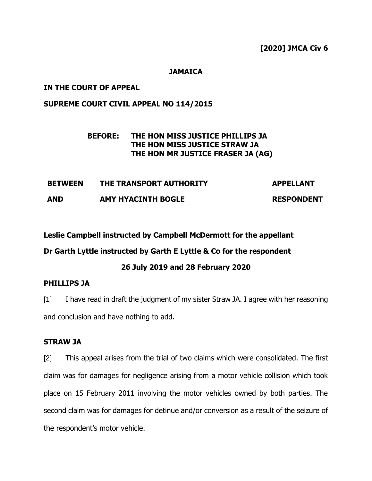## **JAMAICA**

## **IN THE COURT OF APPEAL**

## **SUPREME COURT CIVIL APPEAL NO 114/2015**

## **BEFORE: THE HON MISS JUSTICE PHILLIPS JA THE HON MISS JUSTICE STRAW JA THE HON MR JUSTICE FRASER JA (AG)**

| <b>BETWEEN</b> | THE TRANSPORT AUTHORITY   | <b>APPELLANT</b>  |
|----------------|---------------------------|-------------------|
| <b>AND</b>     | <b>AMY HYACINTH BOGLE</b> | <b>RESPONDENT</b> |

**Leslie Campbell instructed by Campbell McDermott for the appellant** 

**Dr Garth Lyttle instructed by Garth E Lyttle & Co for the respondent**

## **26 July 2019 and 28 February 2020**

## **PHILLIPS JA**

[1] I have read in draft the judgment of my sister Straw JA. I agree with her reasoning and conclusion and have nothing to add.

## **STRAW JA**

[2] This appeal arises from the trial of two claims which were consolidated. The first claim was for damages for negligence arising from a motor vehicle collision which took place on 15 February 2011 involving the motor vehicles owned by both parties. The second claim was for damages for detinue and/or conversion as a result of the seizure of the respondent's motor vehicle.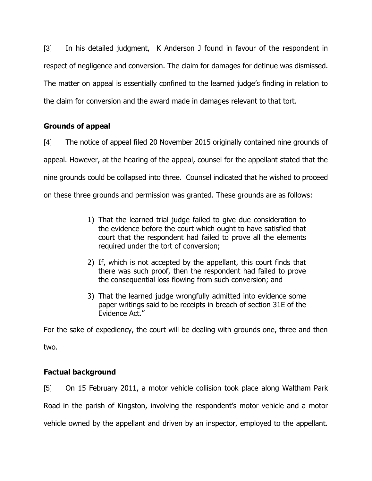[3] In his detailed judgment, K Anderson J found in favour of the respondent in respect of negligence and conversion. The claim for damages for detinue was dismissed. The matter on appeal is essentially confined to the learned judge's finding in relation to the claim for conversion and the award made in damages relevant to that tort.

## **Grounds of appeal**

[4] The notice of appeal filed 20 November 2015 originally contained nine grounds of appeal. However, at the hearing of the appeal, counsel for the appellant stated that the nine grounds could be collapsed into three. Counsel indicated that he wished to proceed on these three grounds and permission was granted. These grounds are as follows:

- 1) That the learned trial judge failed to give due consideration to the evidence before the court which ought to have satisfied that court that the respondent had failed to prove all the elements required under the tort of conversion;
- 2) If, which is not accepted by the appellant, this court finds that there was such proof, then the respondent had failed to prove the consequential loss flowing from such conversion; and
- 3) That the learned judge wrongfully admitted into evidence some paper writings said to be receipts in breach of section 31E of the Evidence Act."

For the sake of expediency, the court will be dealing with grounds one, three and then two.

# **Factual background**

[5] On 15 February 2011, a motor vehicle collision took place along Waltham Park Road in the parish of Kingston, involving the respondent's motor vehicle and a motor vehicle owned by the appellant and driven by an inspector, employed to the appellant.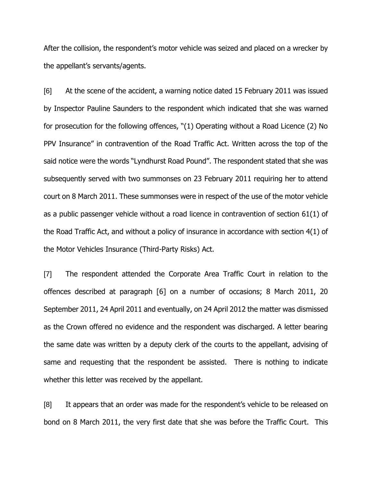After the collision, the respondent's motor vehicle was seized and placed on a wrecker by the appellant's servants/agents.

[6] At the scene of the accident, a warning notice dated 15 February 2011 was issued by Inspector Pauline Saunders to the respondent which indicated that she was warned for prosecution for the following offences, "(1) Operating without a Road Licence (2) No PPV Insurance" in contravention of the Road Traffic Act. Written across the top of the said notice were the words "Lyndhurst Road Pound". The respondent stated that she was subsequently served with two summonses on 23 February 2011 requiring her to attend court on 8 March 2011. These summonses were in respect of the use of the motor vehicle as a public passenger vehicle without a road licence in contravention of section 61(1) of the Road Traffic Act, and without a policy of insurance in accordance with section 4(1) of the Motor Vehicles Insurance (Third-Party Risks) Act.

[7] The respondent attended the Corporate Area Traffic Court in relation to the offences described at paragraph [6] on a number of occasions; 8 March 2011, 20 September 2011, 24 April 2011 and eventually, on 24 April 2012 the matter was dismissed as the Crown offered no evidence and the respondent was discharged. A letter bearing the same date was written by a deputy clerk of the courts to the appellant, advising of same and requesting that the respondent be assisted. There is nothing to indicate whether this letter was received by the appellant.

[8] It appears that an order was made for the respondent's vehicle to be released on bond on 8 March 2011, the very first date that she was before the Traffic Court. This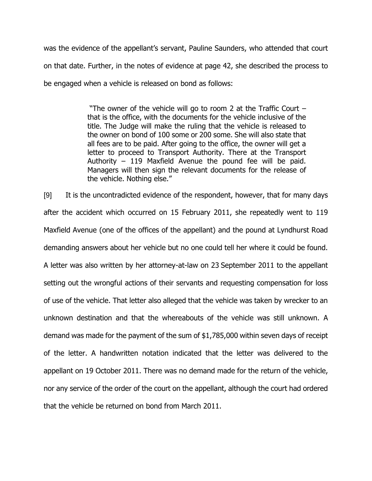was the evidence of the appellant's servant, Pauline Saunders, who attended that court on that date. Further, in the notes of evidence at page 42, she described the process to be engaged when a vehicle is released on bond as follows:

> "The owner of the vehicle will go to room 2 at the Traffic Court – that is the office, with the documents for the vehicle inclusive of the title. The Judge will make the ruling that the vehicle is released to the owner on bond of 100 some or 200 some. She will also state that all fees are to be paid. After going to the office, the owner will get a letter to proceed to Transport Authority. There at the Transport Authority – 119 Maxfield Avenue the pound fee will be paid. Managers will then sign the relevant documents for the release of the vehicle. Nothing else."

[9] It is the uncontradicted evidence of the respondent, however, that for many days after the accident which occurred on 15 February 2011, she repeatedly went to 119 Maxfield Avenue (one of the offices of the appellant) and the pound at Lyndhurst Road demanding answers about her vehicle but no one could tell her where it could be found. A letter was also written by her attorney-at-law on 23 September 2011 to the appellant setting out the wrongful actions of their servants and requesting compensation for loss of use of the vehicle. That letter also alleged that the vehicle was taken by wrecker to an unknown destination and that the whereabouts of the vehicle was still unknown. A demand was made for the payment of the sum of \$1,785,000 within seven days of receipt of the letter. A handwritten notation indicated that the letter was delivered to the appellant on 19 October 2011. There was no demand made for the return of the vehicle, nor any service of the order of the court on the appellant, although the court had ordered that the vehicle be returned on bond from March 2011.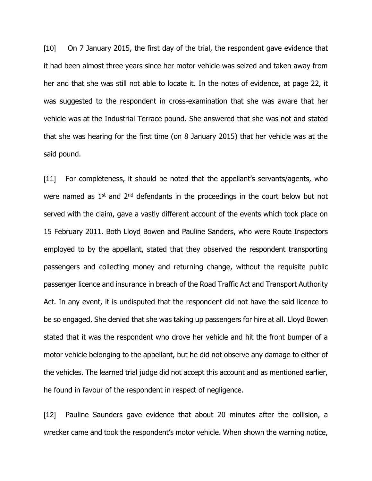[10] On 7 January 2015, the first day of the trial, the respondent gave evidence that it had been almost three years since her motor vehicle was seized and taken away from her and that she was still not able to locate it. In the notes of evidence, at page 22, it was suggested to the respondent in cross-examination that she was aware that her vehicle was at the Industrial Terrace pound. She answered that she was not and stated that she was hearing for the first time (on 8 January 2015) that her vehicle was at the said pound.

[11] For completeness, it should be noted that the appellant's servants/agents, who were named as  $1<sup>st</sup>$  and  $2<sup>nd</sup>$  defendants in the proceedings in the court below but not served with the claim, gave a vastly different account of the events which took place on 15 February 2011. Both Lloyd Bowen and Pauline Sanders, who were Route Inspectors employed to by the appellant, stated that they observed the respondent transporting passengers and collecting money and returning change, without the requisite public passenger licence and insurance in breach of the Road Traffic Act and Transport Authority Act. In any event, it is undisputed that the respondent did not have the said licence to be so engaged. She denied that she was taking up passengers for hire at all. Lloyd Bowen stated that it was the respondent who drove her vehicle and hit the front bumper of a motor vehicle belonging to the appellant, but he did not observe any damage to either of the vehicles. The learned trial judge did not accept this account and as mentioned earlier, he found in favour of the respondent in respect of negligence.

[12] Pauline Saunders gave evidence that about 20 minutes after the collision, a wrecker came and took the respondent's motor vehicle. When shown the warning notice,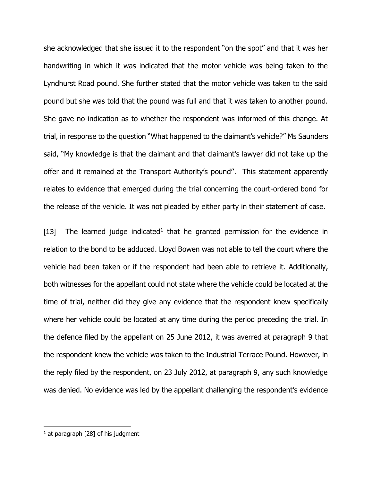she acknowledged that she issued it to the respondent "on the spot" and that it was her handwriting in which it was indicated that the motor vehicle was being taken to the Lyndhurst Road pound. She further stated that the motor vehicle was taken to the said pound but she was told that the pound was full and that it was taken to another pound. She gave no indication as to whether the respondent was informed of this change. At trial, in response to the question "What happened to the claimant's vehicle?" Ms Saunders said, "My knowledge is that the claimant and that claimant's lawyer did not take up the offer and it remained at the Transport Authority's pound''. This statement apparently relates to evidence that emerged during the trial concerning the court-ordered bond for the release of the vehicle. It was not pleaded by either party in their statement of case.

[13] The learned judge indicated<sup>1</sup> that he granted permission for the evidence in relation to the bond to be adduced. Lloyd Bowen was not able to tell the court where the vehicle had been taken or if the respondent had been able to retrieve it. Additionally, both witnesses for the appellant could not state where the vehicle could be located at the time of trial, neither did they give any evidence that the respondent knew specifically where her vehicle could be located at any time during the period preceding the trial. In the defence filed by the appellant on 25 June 2012, it was averred at paragraph 9 that the respondent knew the vehicle was taken to the Industrial Terrace Pound. However, in the reply filed by the respondent, on 23 July 2012, at paragraph 9, any such knowledge was denied. No evidence was led by the appellant challenging the respondent's evidence

 $<sup>1</sup>$  at paragraph [28] of his judgment</sup>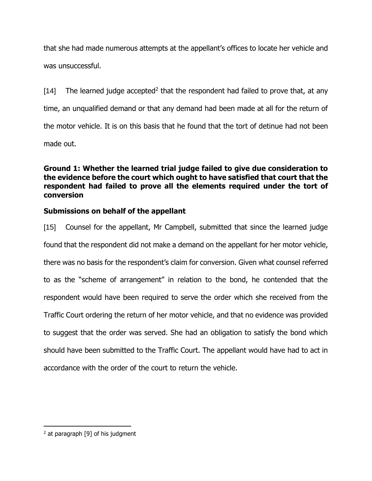that she had made numerous attempts at the appellant's offices to locate her vehicle and was unsuccessful.

[14] The learned judge accepted<sup>2</sup> that the respondent had failed to prove that, at any time, an unqualified demand or that any demand had been made at all for the return of the motor vehicle. It is on this basis that he found that the tort of detinue had not been made out.

**Ground 1: Whether the learned trial judge failed to give due consideration to the evidence before the court which ought to have satisfied that court that the respondent had failed to prove all the elements required under the tort of conversion**

## **Submissions on behalf of the appellant**

[15] Counsel for the appellant, Mr Campbell, submitted that since the learned judge found that the respondent did not make a demand on the appellant for her motor vehicle, there was no basis for the respondent's claim for conversion. Given what counsel referred to as the "scheme of arrangement" in relation to the bond, he contended that the respondent would have been required to serve the order which she received from the Traffic Court ordering the return of her motor vehicle, and that no evidence was provided to suggest that the order was served. She had an obligation to satisfy the bond which should have been submitted to the Traffic Court. The appellant would have had to act in accordance with the order of the court to return the vehicle.

 $<sup>2</sup>$  at paragraph [9] of his judgment</sup>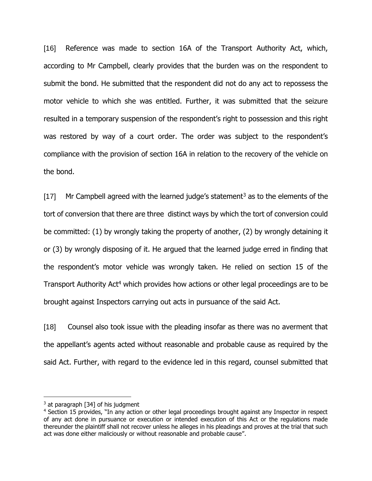[16] Reference was made to section 16A of the Transport Authority Act, which, according to Mr Campbell, clearly provides that the burden was on the respondent to submit the bond. He submitted that the respondent did not do any act to repossess the motor vehicle to which she was entitled. Further, it was submitted that the seizure resulted in a temporary suspension of the respondent's right to possession and this right was restored by way of a court order. The order was subject to the respondent's compliance with the provision of section 16A in relation to the recovery of the vehicle on the bond.

[17] Mr Campbell agreed with the learned judge's statement<sup>3</sup> as to the elements of the tort of conversion that there are three distinct ways by which the tort of conversion could be committed: (1) by wrongly taking the property of another, (2) by wrongly detaining it or (3) by wrongly disposing of it. He argued that the learned judge erred in finding that the respondent's motor vehicle was wrongly taken. He relied on section 15 of the Transport Authority Act<sup>4</sup> which provides how actions or other legal proceedings are to be brought against Inspectors carrying out acts in pursuance of the said Act.

[18] Counsel also took issue with the pleading insofar as there was no averment that the appellant's agents acted without reasonable and probable cause as required by the said Act. Further, with regard to the evidence led in this regard, counsel submitted that

 $3$  at paragraph [34] of his judgment

<sup>4</sup> Section 15 provides, "In any action or other legal proceedings brought against any Inspector in respect of any act done in pursuance or execution or intended execution of this Act or the regulations made thereunder the plaintiff shall not recover unless he alleges in his pleadings and proves at the trial that such act was done either maliciously or without reasonable and probable cause".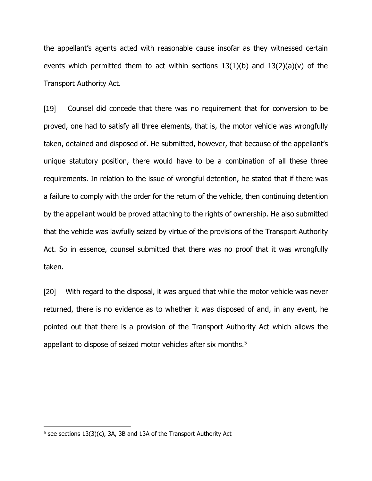the appellant's agents acted with reasonable cause insofar as they witnessed certain events which permitted them to act within sections  $13(1)(b)$  and  $13(2)(a)(v)$  of the Transport Authority Act.

[19] Counsel did concede that there was no requirement that for conversion to be proved, one had to satisfy all three elements, that is, the motor vehicle was wrongfully taken, detained and disposed of. He submitted, however, that because of the appellant's unique statutory position, there would have to be a combination of all these three requirements. In relation to the issue of wrongful detention, he stated that if there was a failure to comply with the order for the return of the vehicle, then continuing detention by the appellant would be proved attaching to the rights of ownership. He also submitted that the vehicle was lawfully seized by virtue of the provisions of the Transport Authority Act. So in essence, counsel submitted that there was no proof that it was wrongfully taken.

[20] With regard to the disposal, it was argued that while the motor vehicle was never returned, there is no evidence as to whether it was disposed of and, in any event, he pointed out that there is a provision of the Transport Authority Act which allows the appellant to dispose of seized motor vehicles after six months.<sup>5</sup>

 $5$  see sections 13(3)(c), 3A, 3B and 13A of the Transport Authority Act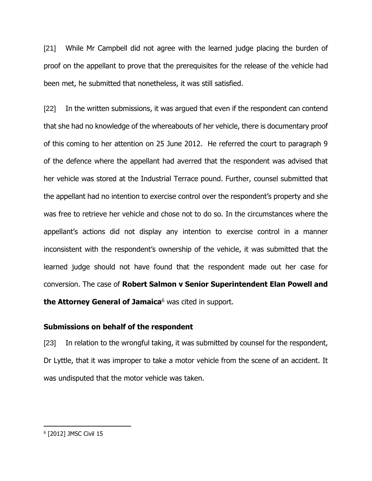[21] While Mr Campbell did not agree with the learned judge placing the burden of proof on the appellant to prove that the prerequisites for the release of the vehicle had been met, he submitted that nonetheless, it was still satisfied.

[22] In the written submissions, it was argued that even if the respondent can contend that she had no knowledge of the whereabouts of her vehicle, there is documentary proof of this coming to her attention on 25 June 2012. He referred the court to paragraph 9 of the defence where the appellant had averred that the respondent was advised that her vehicle was stored at the Industrial Terrace pound. Further, counsel submitted that the appellant had no intention to exercise control over the respondent's property and she was free to retrieve her vehicle and chose not to do so. In the circumstances where the appellant's actions did not display any intention to exercise control in a manner inconsistent with the respondent's ownership of the vehicle, it was submitted that the learned judge should not have found that the respondent made out her case for conversion. The case of **Robert Salmon v Senior Superintendent Elan Powell and**  the Attorney General of Jamaica<sup>6</sup> was cited in support.

## **Submissions on behalf of the respondent**

[23] In relation to the wrongful taking, it was submitted by counsel for the respondent, Dr Lyttle, that it was improper to take a motor vehicle from the scene of an accident. It was undisputed that the motor vehicle was taken.

<sup>6</sup> [2012] JMSC Civil 15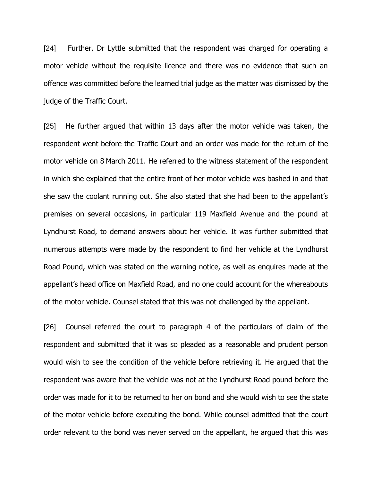[24] Further, Dr Lyttle submitted that the respondent was charged for operating a motor vehicle without the requisite licence and there was no evidence that such an offence was committed before the learned trial judge as the matter was dismissed by the judge of the Traffic Court.

[25] He further argued that within 13 days after the motor vehicle was taken, the respondent went before the Traffic Court and an order was made for the return of the motor vehicle on 8 March 2011. He referred to the witness statement of the respondent in which she explained that the entire front of her motor vehicle was bashed in and that she saw the coolant running out. She also stated that she had been to the appellant's premises on several occasions, in particular 119 Maxfield Avenue and the pound at Lyndhurst Road, to demand answers about her vehicle. It was further submitted that numerous attempts were made by the respondent to find her vehicle at the Lyndhurst Road Pound, which was stated on the warning notice, as well as enquires made at the appellant's head office on Maxfield Road, and no one could account for the whereabouts of the motor vehicle. Counsel stated that this was not challenged by the appellant.

[26] Counsel referred the court to paragraph 4 of the particulars of claim of the respondent and submitted that it was so pleaded as a reasonable and prudent person would wish to see the condition of the vehicle before retrieving it. He argued that the respondent was aware that the vehicle was not at the Lyndhurst Road pound before the order was made for it to be returned to her on bond and she would wish to see the state of the motor vehicle before executing the bond. While counsel admitted that the court order relevant to the bond was never served on the appellant, he argued that this was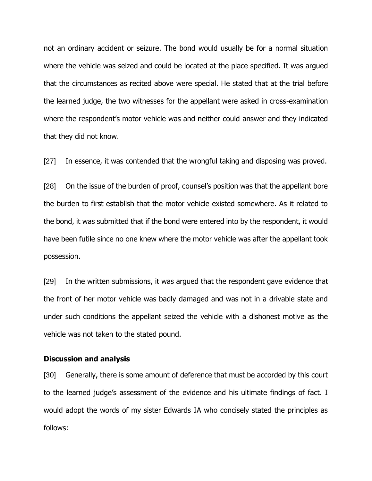not an ordinary accident or seizure. The bond would usually be for a normal situation where the vehicle was seized and could be located at the place specified. It was argued that the circumstances as recited above were special. He stated that at the trial before the learned judge, the two witnesses for the appellant were asked in cross-examination where the respondent's motor vehicle was and neither could answer and they indicated that they did not know.

[27] In essence, it was contended that the wrongful taking and disposing was proved.

[28] On the issue of the burden of proof, counsel's position was that the appellant bore the burden to first establish that the motor vehicle existed somewhere. As it related to the bond, it was submitted that if the bond were entered into by the respondent, it would have been futile since no one knew where the motor vehicle was after the appellant took possession.

[29] In the written submissions, it was argued that the respondent gave evidence that the front of her motor vehicle was badly damaged and was not in a drivable state and under such conditions the appellant seized the vehicle with a dishonest motive as the vehicle was not taken to the stated pound.

#### **Discussion and analysis**

[30] Generally, there is some amount of deference that must be accorded by this court to the learned judge's assessment of the evidence and his ultimate findings of fact. I would adopt the words of my sister Edwards JA who concisely stated the principles as follows: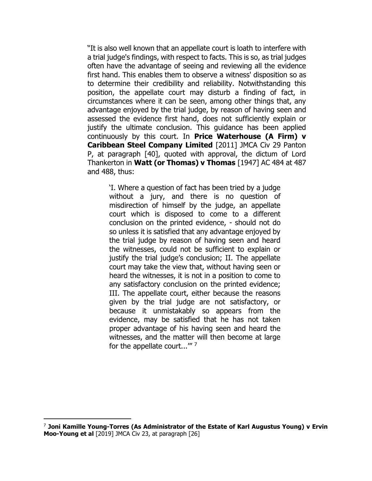"It is also well known that an appellate court is loath to interfere with a trial judge's findings, with respect to facts. This is so, as trial judges often have the advantage of seeing and reviewing all the evidence first hand. This enables them to observe a witness' disposition so as to determine their credibility and reliability. Notwithstanding this position, the appellate court may disturb a finding of fact, in circumstances where it can be seen, among other things that, any advantage enjoyed by the trial judge, by reason of having seen and assessed the evidence first hand, does not sufficiently explain or justify the ultimate conclusion. This guidance has been applied continuously by this court. In **Price Waterhouse (A Firm) v Caribbean Steel Company Limited** [2011] JMCA Civ 29 Panton P, at paragraph [40], quoted with approval, the dictum of Lord Thankerton in **Watt (or Thomas) v Thomas** [1947] AC 484 at 487 and 488, thus:

'I. Where a question of fact has been tried by a judge without a jury, and there is no question of misdirection of himself by the judge, an appellate court which is disposed to come to a different conclusion on the printed evidence, - should not do so unless it is satisfied that any advantage enjoyed by the trial judge by reason of having seen and heard the witnesses, could not be sufficient to explain or justify the trial judge's conclusion; II. The appellate court may take the view that, without having seen or heard the witnesses, it is not in a position to come to any satisfactory conclusion on the printed evidence; III. The appellate court, either because the reasons given by the trial judge are not satisfactory, or because it unmistakably so appears from the evidence, may be satisfied that he has not taken proper advantage of his having seen and heard the witnesses, and the matter will then become at large for the appellate court..."<sup>7</sup>

<sup>7</sup> **Joni Kamille Young-Torres (As Administrator of the Estate of Karl Augustus Young) v Ervin Moo-Young et al** [2019] JMCA Civ 23, at paragraph [26]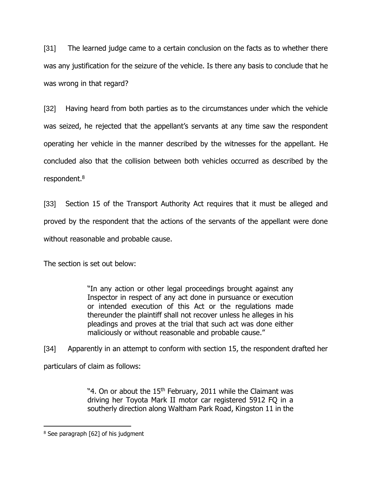[31] The learned judge came to a certain conclusion on the facts as to whether there was any justification for the seizure of the vehicle. Is there any basis to conclude that he was wrong in that regard?

[32] Having heard from both parties as to the circumstances under which the vehicle was seized, he rejected that the appellant's servants at any time saw the respondent operating her vehicle in the manner described by the witnesses for the appellant. He concluded also that the collision between both vehicles occurred as described by the respondent.<sup>8</sup>

[33] Section 15 of the Transport Authority Act requires that it must be alleged and proved by the respondent that the actions of the servants of the appellant were done without reasonable and probable cause.

The section is set out below:

"In any action or other legal proceedings brought against any Inspector in respect of any act done in pursuance or execution or intended execution of this Act or the regulations made thereunder the plaintiff shall not recover unless he alleges in his pleadings and proves at the trial that such act was done either maliciously or without reasonable and probable cause."

[34] Apparently in an attempt to conform with section 15, the respondent drafted her particulars of claim as follows:

> "4. On or about the 15<sup>th</sup> February, 2011 while the Claimant was driving her Toyota Mark II motor car registered 5912 FQ in a southerly direction along Waltham Park Road, Kingston 11 in the

<sup>&</sup>lt;sup>8</sup> See paragraph [62] of his judgment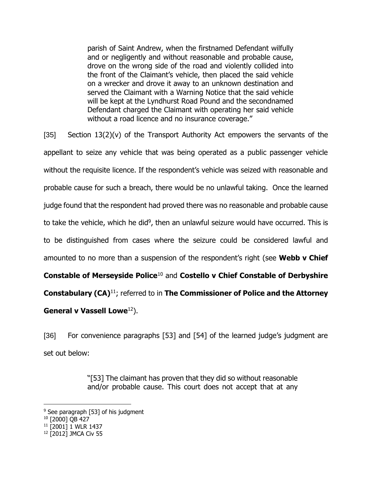parish of Saint Andrew, when the firstnamed Defendant wilfully and or negligently and without reasonable and probable cause, drove on the wrong side of the road and violently collided into the front of the Claimant's vehicle, then placed the said vehicle on a wrecker and drove it away to an unknown destination and served the Claimant with a Warning Notice that the said vehicle will be kept at the Lyndhurst Road Pound and the secondnamed Defendant charged the Claimant with operating her said vehicle without a road licence and no insurance coverage."

 $[35]$  Section  $13(2)(v)$  of the Transport Authority Act empowers the servants of the appellant to seize any vehicle that was being operated as a public passenger vehicle without the requisite licence. If the respondent's vehicle was seized with reasonable and probable cause for such a breach, there would be no unlawful taking. Once the learned judge found that the respondent had proved there was no reasonable and probable cause to take the vehicle, which he did<sup>9</sup>, then an unlawful seizure would have occurred. This is to be distinguished from cases where the seizure could be considered lawful and amounted to no more than a suspension of the respondent's right (see **Webb v Chief Constable of Merseyside Police**<sup>10</sup> and **Costello v Chief Constable of Derbyshire Constabulary (CA)**<sup>11</sup>; referred to in **The Commissioner of Police and the Attorney**  General v Vassell Lowe<sup>12</sup>).

[36] For convenience paragraphs [53] and [54] of the learned judge's judgment are set out below:

> "[53] The claimant has proven that they did so without reasonable and/or probable cause. This court does not accept that at any

<sup>&</sup>lt;sup>9</sup> See paragraph [53] of his judgment

<sup>&</sup>lt;sup>10</sup> [2000] QB 427

<sup>&</sup>lt;sup>11</sup> [2001] 1 WLR 1437

<sup>12</sup> [2012] JMCA Civ 55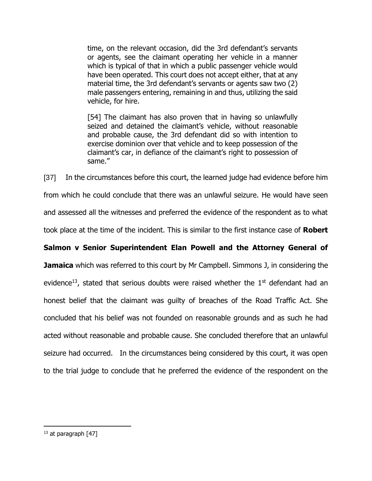time, on the relevant occasion, did the 3rd defendant's servants or agents, see the claimant operating her vehicle in a manner which is typical of that in which a public passenger vehicle would have been operated. This court does not accept either, that at any material time, the 3rd defendant's servants or agents saw two (2) male passengers entering, remaining in and thus, utilizing the said vehicle, for hire.

[54] The claimant has also proven that in having so unlawfully seized and detained the claimant's vehicle, without reasonable and probable cause, the 3rd defendant did so with intention to exercise dominion over that vehicle and to keep possession of the claimant's car, in defiance of the claimant's right to possession of same."

[37] In the circumstances before this court, the learned judge had evidence before him from which he could conclude that there was an unlawful seizure. He would have seen and assessed all the witnesses and preferred the evidence of the respondent as to what took place at the time of the incident. This is similar to the first instance case of **Robert** 

## **Salmon v Senior Superintendent Elan Powell and the Attorney General of**

**Jamaica** which was referred to this court by Mr Campbell. Simmons J, in considering the evidence<sup>13</sup>, stated that serious doubts were raised whether the  $1<sup>st</sup>$  defendant had an honest belief that the claimant was guilty of breaches of the Road Traffic Act. She concluded that his belief was not founded on reasonable grounds and as such he had acted without reasonable and probable cause. She concluded therefore that an unlawful seizure had occurred. In the circumstances being considered by this court, it was open to the trial judge to conclude that he preferred the evidence of the respondent on the

<sup>&</sup>lt;sup>13</sup> at paragraph [47]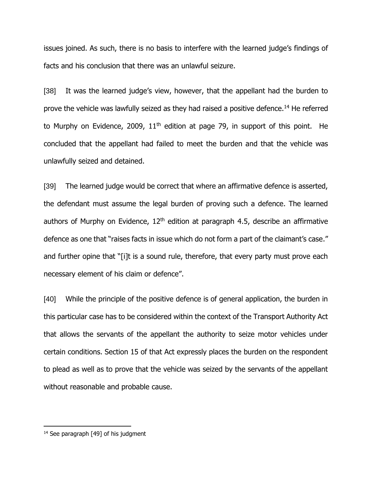issues joined. As such, there is no basis to interfere with the learned judge's findings of facts and his conclusion that there was an unlawful seizure.

[38] It was the learned judge's view, however, that the appellant had the burden to prove the vehicle was lawfully seized as they had raised a positive defence.<sup>14</sup> He referred to Murphy on Evidence, 2009,  $11<sup>th</sup>$  edition at page 79, in support of this point. He concluded that the appellant had failed to meet the burden and that the vehicle was unlawfully seized and detained.

[39] The learned judge would be correct that where an affirmative defence is asserted, the defendant must assume the legal burden of proving such a defence. The learned authors of Murphy on Evidence,  $12<sup>th</sup>$  edition at paragraph 4.5, describe an affirmative defence as one that "raises facts in issue which do not form a part of the claimant's case." and further opine that "[i]t is a sound rule, therefore, that every party must prove each necessary element of his claim or defence".

[40] While the principle of the positive defence is of general application, the burden in this particular case has to be considered within the context of the Transport Authority Act that allows the servants of the appellant the authority to seize motor vehicles under certain conditions. Section 15 of that Act expressly places the burden on the respondent to plead as well as to prove that the vehicle was seized by the servants of the appellant without reasonable and probable cause.

 $14$  See paragraph [49] of his judgment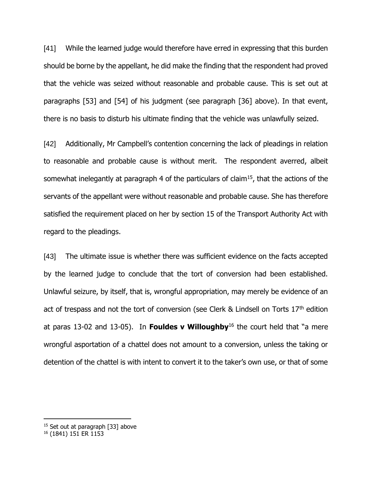[41] While the learned judge would therefore have erred in expressing that this burden should be borne by the appellant, he did make the finding that the respondent had proved that the vehicle was seized without reasonable and probable cause. This is set out at paragraphs [53] and [54] of his judgment (see paragraph [36] above). In that event, there is no basis to disturb his ultimate finding that the vehicle was unlawfully seized.

[42] Additionally, Mr Campbell's contention concerning the lack of pleadings in relation to reasonable and probable cause is without merit. The respondent averred, albeit somewhat inelegantly at paragraph 4 of the particulars of claim<sup>15</sup>, that the actions of the servants of the appellant were without reasonable and probable cause. She has therefore satisfied the requirement placed on her by section 15 of the Transport Authority Act with regard to the pleadings.

[43] The ultimate issue is whether there was sufficient evidence on the facts accepted by the learned judge to conclude that the tort of conversion had been established. Unlawful seizure, by itself, that is, wrongful appropriation, may merely be evidence of an act of trespass and not the tort of conversion (see Clerk & Lindsell on Torts  $17<sup>th</sup>$  edition at paras 13-02 and 13-05). In **Fouldes v Willoughby**<sup>16</sup> the court held that "a mere wrongful asportation of a chattel does not amount to a conversion, unless the taking or detention of the chattel is with intent to convert it to the taker's own use, or that of some

<sup>&</sup>lt;sup>15</sup> Set out at paragraph [33] above

<sup>16</sup> (1841) 151 ER 1153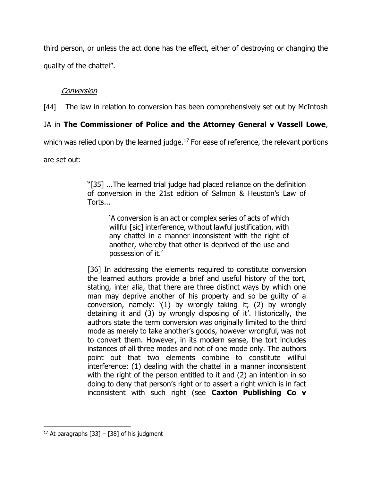third person, or unless the act done has the effect, either of destroying or changing the quality of the chattel".

# Conversion

[44] The law in relation to conversion has been comprehensively set out by McIntosh

# JA in **The Commissioner of Police and the Attorney General v Vassell Lowe**,

which was relied upon by the learned judge.<sup>17</sup> For ease of reference, the relevant portions

are set out:

"[35] ...The learned trial judge had placed reliance on the definition of conversion in the 21st edition of Salmon & Heuston's Law of Torts...

'A conversion is an act or complex series of acts of which willful [sic] interference, without lawful justification, with any chattel in a manner inconsistent with the right of another, whereby that other is deprived of the use and possession of it.'

[36] In addressing the elements required to constitute conversion the learned authors provide a brief and useful history of the tort, stating, inter alia, that there are three distinct ways by which one man may deprive another of his property and so be guilty of a conversion, namely: '(1) by wrongly taking it; (2) by wrongly detaining it and (3) by wrongly disposing of it'. Historically, the authors state the term conversion was originally limited to the third mode as merely to take another's goods, however wrongful, was not to convert them. However, in its modern sense, the tort includes instances of all three modes and not of one mode only. The authors point out that two elements combine to constitute willful interference: (1) dealing with the chattel in a manner inconsistent with the right of the person entitled to it and (2) an intention in so doing to deny that person's right or to assert a right which is in fact inconsistent with such right (see **Caxton Publishing Co v** 

<sup>&</sup>lt;sup>17</sup> At paragraphs [33] – [38] of his judgment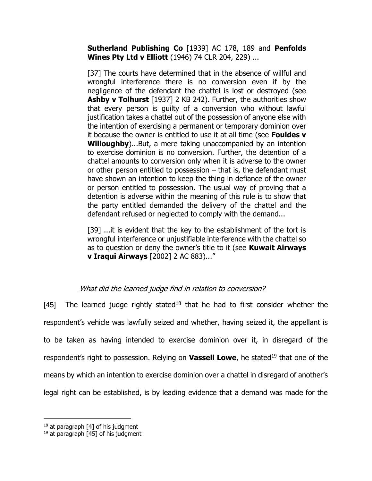**Sutherland Publishing Co** [1939] AC 178, 189 and **Penfolds Wines Pty Ltd v Elliott** (1946) 74 CLR 204, 229) ...

[37] The courts have determined that in the absence of willful and wrongful interference there is no conversion even if by the negligence of the defendant the chattel is lost or destroyed (see **Ashby v Tolhurst** [1937] 2 KB 242). Further, the authorities show that every person is guilty of a conversion who without lawful justification takes a chattel out of the possession of anyone else with the intention of exercising a permanent or temporary dominion over it because the owner is entitled to use it at all time (see **Fouldes v Willoughby**)...But, a mere taking unaccompanied by an intention to exercise dominion is no conversion. Further, the detention of a chattel amounts to conversion only when it is adverse to the owner or other person entitled to possession – that is, the defendant must have shown an intention to keep the thing in defiance of the owner or person entitled to possession. The usual way of proving that a detention is adverse within the meaning of this rule is to show that the party entitled demanded the delivery of the chattel and the defendant refused or neglected to comply with the demand...

[39] ...it is evident that the key to the establishment of the tort is wrongful interference or unjustifiable interference with the chattel so as to question or deny the owner's title to it (see **Kuwait Airways v Iraqui Airways** [2002] 2 AC 883)..."

# What did the learned judge find in relation to conversion?

[45] The learned judge rightly stated<sup>18</sup> that he had to first consider whether the respondent's vehicle was lawfully seized and whether, having seized it, the appellant is to be taken as having intended to exercise dominion over it, in disregard of the respondent's right to possession. Relying on **Vassell Lowe**, he stated<sup>19</sup> that one of the means by which an intention to exercise dominion over a chattel in disregard of another's legal right can be established, is by leading evidence that a demand was made for the

 $18$  at paragraph [4] of his judgment

 $19$  at paragraph [45] of his judgment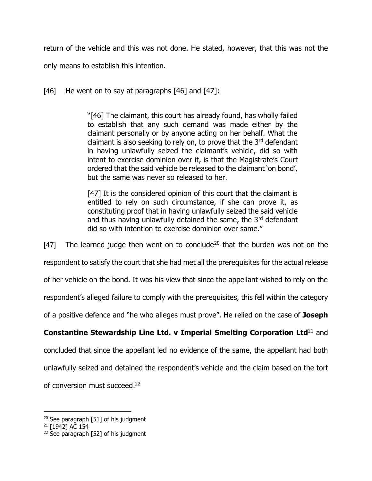return of the vehicle and this was not done. He stated, however, that this was not the only means to establish this intention.

 $[46]$  He went on to say at paragraphs  $[46]$  and  $[47]$ :

"[46] The claimant, this court has already found, has wholly failed to establish that any such demand was made either by the claimant personally or by anyone acting on her behalf. What the claimant is also seeking to rely on, to prove that the  $3<sup>rd</sup>$  defendant in having unlawfully seized the claimant's vehicle, did so with intent to exercise dominion over it, is that the Magistrate's Court ordered that the said vehicle be released to the claimant 'on bond', but the same was never so released to her.

[47] It is the considered opinion of this court that the claimant is entitled to rely on such circumstance, if she can prove it, as constituting proof that in having unlawfully seized the said vehicle and thus having unlawfully detained the same, the 3rd defendant did so with intention to exercise dominion over same."

[47] The learned judge then went on to conclude<sup>20</sup> that the burden was not on the

respondent to satisfy the court that she had met all the prerequisites for the actual release

of her vehicle on the bond. It was his view that since the appellant wished to rely on the

respondent's alleged failure to comply with the prerequisites, this fell within the category

of a positive defence and "he who alleges must prove". He relied on the case of **Joseph** 

# **Constantine Stewardship Line Ltd. v Imperial Smelting Corporation Ltd**<sup>21</sup> and

concluded that since the appellant led no evidence of the same, the appellant had both unlawfully seized and detained the respondent's vehicle and the claim based on the tort of conversion must succeed.<sup>22</sup>

 $20$  See paragraph [51] of his judgment

<sup>&</sup>lt;sup>21</sup> [1942] AC 154

 $22$  See paragraph [52] of his judgment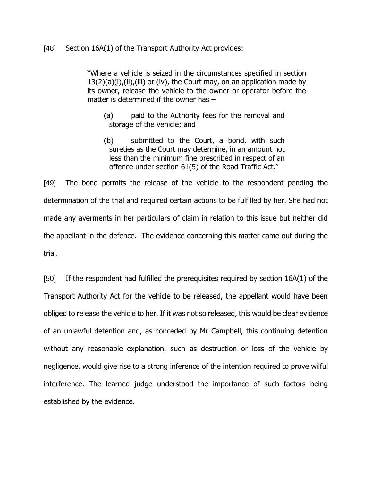### [48] Section 16A(1) of the Transport Authority Act provides:

"Where a vehicle is seized in the circumstances specified in section  $13(2)(a)(i)$ , (ii), (iii) or (iv), the Court may, on an application made by its owner, release the vehicle to the owner or operator before the matter is determined if the owner has –

- (a) paid to the Authority fees for the removal and storage of the vehicle; and
- (b) submitted to the Court, a bond, with such sureties as the Court may determine, in an amount not less than the minimum fine prescribed in respect of an offence under section 61(5) of the Road Traffic Act."

[49] The bond permits the release of the vehicle to the respondent pending the determination of the trial and required certain actions to be fulfilled by her. She had not made any averments in her particulars of claim in relation to this issue but neither did the appellant in the defence. The evidence concerning this matter came out during the trial.

[50] If the respondent had fulfilled the prerequisites required by section 16A(1) of the Transport Authority Act for the vehicle to be released, the appellant would have been obliged to release the vehicle to her. If it was not so released, this would be clear evidence of an unlawful detention and, as conceded by Mr Campbell, this continuing detention without any reasonable explanation, such as destruction or loss of the vehicle by negligence, would give rise to a strong inference of the intention required to prove wilful interference. The learned judge understood the importance of such factors being established by the evidence.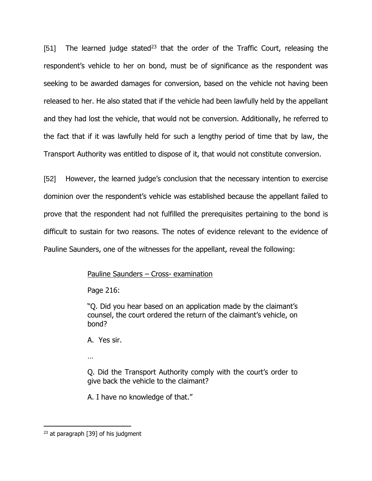[51] The learned judge stated<sup>23</sup> that the order of the Traffic Court, releasing the respondent's vehicle to her on bond, must be of significance as the respondent was seeking to be awarded damages for conversion, based on the vehicle not having been released to her. He also stated that if the vehicle had been lawfully held by the appellant and they had lost the vehicle, that would not be conversion. Additionally, he referred to the fact that if it was lawfully held for such a lengthy period of time that by law, the Transport Authority was entitled to dispose of it, that would not constitute conversion.

[52] However, the learned judge's conclusion that the necessary intention to exercise dominion over the respondent's vehicle was established because the appellant failed to prove that the respondent had not fulfilled the prerequisites pertaining to the bond is difficult to sustain for two reasons. The notes of evidence relevant to the evidence of Pauline Saunders, one of the witnesses for the appellant, reveal the following:

## Pauline Saunders – Cross- examination

Page 216:

"Q. Did you hear based on an application made by the claimant's counsel, the court ordered the return of the claimant's vehicle, on bond?

A. Yes sir.

…

Q. Did the Transport Authority comply with the court's order to give back the vehicle to the claimant?

A. I have no knowledge of that."

 $23$  at paragraph [39] of his judgment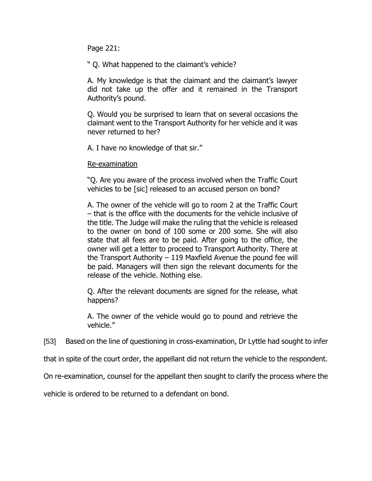Page 221:

" Q. What happened to the claimant's vehicle?

A. My knowledge is that the claimant and the claimant's lawyer did not take up the offer and it remained in the Transport Authority's pound.

Q. Would you be surprised to learn that on several occasions the claimant went to the Transport Authority for her vehicle and it was never returned to her?

A. I have no knowledge of that sir."

Re-examination

"Q. Are you aware of the process involved when the Traffic Court vehicles to be [sic] released to an accused person on bond?

A. The owner of the vehicle will go to room 2 at the Traffic Court – that is the office with the documents for the vehicle inclusive of the title. The Judge will make the ruling that the vehicle is released to the owner on bond of 100 some or 200 some. She will also state that all fees are to be paid. After going to the office, the owner will get a letter to proceed to Transport Authority. There at the Transport Authority – 119 Maxfield Avenue the pound fee will be paid. Managers will then sign the relevant documents for the release of the vehicle. Nothing else.

Q. After the relevant documents are signed for the release, what happens?

A. The owner of the vehicle would go to pound and retrieve the vehicle."

[53] Based on the line of questioning in cross-examination, Dr Lyttle had sought to infer

that in spite of the court order, the appellant did not return the vehicle to the respondent.

On re-examination, counsel for the appellant then sought to clarify the process where the

vehicle is ordered to be returned to a defendant on bond.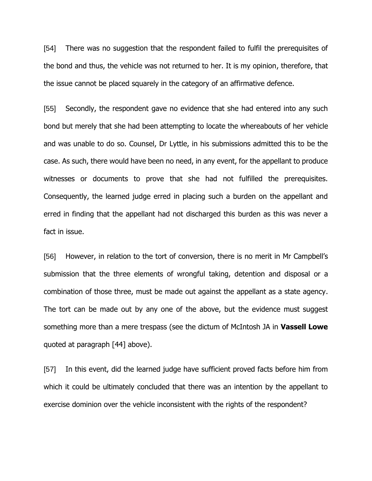[54] There was no suggestion that the respondent failed to fulfil the prerequisites of the bond and thus, the vehicle was not returned to her. It is my opinion, therefore, that the issue cannot be placed squarely in the category of an affirmative defence.

[55] Secondly, the respondent gave no evidence that she had entered into any such bond but merely that she had been attempting to locate the whereabouts of her vehicle and was unable to do so. Counsel, Dr Lyttle, in his submissions admitted this to be the case. As such, there would have been no need, in any event, for the appellant to produce witnesses or documents to prove that she had not fulfilled the prerequisites. Consequently, the learned judge erred in placing such a burden on the appellant and erred in finding that the appellant had not discharged this burden as this was never a fact in issue.

[56] However, in relation to the tort of conversion, there is no merit in Mr Campbell's submission that the three elements of wrongful taking, detention and disposal or a combination of those three, must be made out against the appellant as a state agency. The tort can be made out by any one of the above, but the evidence must suggest something more than a mere trespass (see the dictum of McIntosh JA in **Vassell Lowe** quoted at paragraph [44] above).

[57] In this event, did the learned judge have sufficient proved facts before him from which it could be ultimately concluded that there was an intention by the appellant to exercise dominion over the vehicle inconsistent with the rights of the respondent?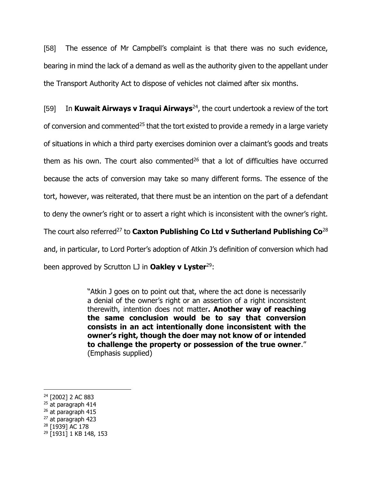[58] The essence of Mr Campbell's complaint is that there was no such evidence, bearing in mind the lack of a demand as well as the authority given to the appellant under the Transport Authority Act to dispose of vehicles not claimed after six months.

[59] In **Kuwait Airways v Iraqui Airways**<sup>24</sup> , the court undertook a review of the tort of conversion and commented<sup>25</sup> that the tort existed to provide a remedy in a large variety of situations in which a third party exercises dominion over a claimant's goods and treats them as his own. The court also commented $26$  that a lot of difficulties have occurred because the acts of conversion may take so many different forms. The essence of the tort, however, was reiterated, that there must be an intention on the part of a defendant to deny the owner's right or to assert a right which is inconsistent with the owner's right. The court also referred<sup>27</sup> to **Caxton Publishing Co Ltd v Sutherland Publishing Co<sup>28</sup>** and, in particular, to Lord Porter's adoption of Atkin J's definition of conversion which had been approved by Scrutton LJ in **Oakley v Lyster**<sup>29</sup>:

> "Atkin J goes on to point out that, where the act done is necessarily a denial of the owner's right or an assertion of a right inconsistent therewith, intention does not matter**. Another way of reaching the same conclusion would be to say that conversion consists in an act intentionally done inconsistent with the owner's right, though the doer may not know of or intended to challenge the property or possession of the true owner**." (Emphasis supplied)

 $\overline{a}$ 

<sup>28</sup> [1939] AC 178

<sup>24</sup> [2002] 2 AC 883

<sup>&</sup>lt;sup>25</sup> at paragraph 414

 $26$  at paragraph 415

<sup>27</sup> at paragraph 423

<sup>29</sup> [1931] 1 KB 148, 153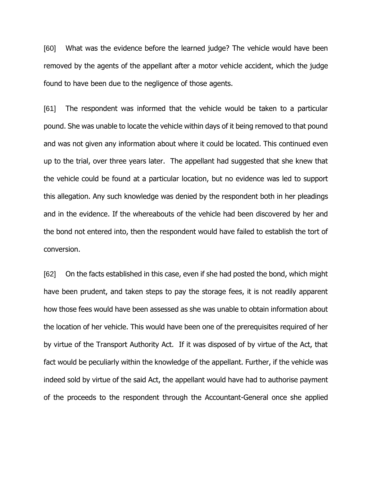[60] What was the evidence before the learned judge? The vehicle would have been removed by the agents of the appellant after a motor vehicle accident, which the judge found to have been due to the negligence of those agents.

[61] The respondent was informed that the vehicle would be taken to a particular pound. She was unable to locate the vehicle within days of it being removed to that pound and was not given any information about where it could be located. This continued even up to the trial, over three years later. The appellant had suggested that she knew that the vehicle could be found at a particular location, but no evidence was led to support this allegation. Any such knowledge was denied by the respondent both in her pleadings and in the evidence. If the whereabouts of the vehicle had been discovered by her and the bond not entered into, then the respondent would have failed to establish the tort of conversion.

[62] On the facts established in this case, even if she had posted the bond, which might have been prudent, and taken steps to pay the storage fees, it is not readily apparent how those fees would have been assessed as she was unable to obtain information about the location of her vehicle. This would have been one of the prerequisites required of her by virtue of the Transport Authority Act. If it was disposed of by virtue of the Act, that fact would be peculiarly within the knowledge of the appellant. Further, if the vehicle was indeed sold by virtue of the said Act, the appellant would have had to authorise payment of the proceeds to the respondent through the Accountant-General once she applied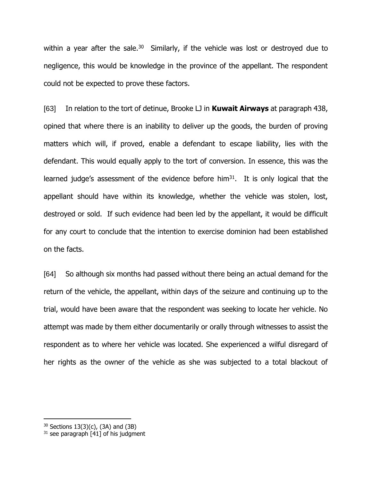within a year after the sale.<sup>30</sup> Similarly, if the vehicle was lost or destroyed due to negligence, this would be knowledge in the province of the appellant. The respondent could not be expected to prove these factors.

[63] In relation to the tort of detinue, Brooke LJ in **Kuwait Airways** at paragraph 438, opined that where there is an inability to deliver up the goods, the burden of proving matters which will, if proved, enable a defendant to escape liability, lies with the defendant. This would equally apply to the tort of conversion. In essence, this was the learned judge's assessment of the evidence before him<sup>31</sup>. It is only logical that the appellant should have within its knowledge, whether the vehicle was stolen, lost, destroyed or sold. If such evidence had been led by the appellant, it would be difficult for any court to conclude that the intention to exercise dominion had been established on the facts.

[64] So although six months had passed without there being an actual demand for the return of the vehicle, the appellant, within days of the seizure and continuing up to the trial, would have been aware that the respondent was seeking to locate her vehicle. No attempt was made by them either documentarily or orally through witnesses to assist the respondent as to where her vehicle was located. She experienced a wilful disregard of her rights as the owner of the vehicle as she was subjected to a total blackout of

 $30$  Sections 13(3)(c), (3A) and (3B)

 $31$  see paragraph [41] of his judgment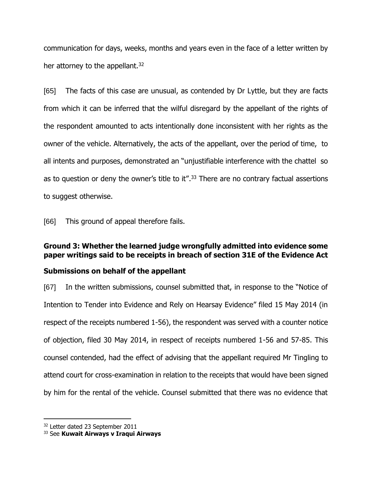communication for days, weeks, months and years even in the face of a letter written by her attorney to the appellant.<sup>32</sup>

[65] The facts of this case are unusual, as contended by Dr Lyttle, but they are facts from which it can be inferred that the wilful disregard by the appellant of the rights of the respondent amounted to acts intentionally done inconsistent with her rights as the owner of the vehicle. Alternatively, the acts of the appellant, over the period of time, to all intents and purposes, demonstrated an "unjustifiable interference with the chattel so as to question or deny the owner's title to it".<sup>33</sup> There are no contrary factual assertions to suggest otherwise.

[66] This ground of appeal therefore fails.

## **Ground 3: Whether the learned judge wrongfully admitted into evidence some paper writings said to be receipts in breach of section 31E of the Evidence Act**

## **Submissions on behalf of the appellant**

[67] In the written submissions, counsel submitted that, in response to the "Notice of Intention to Tender into Evidence and Rely on Hearsay Evidence" filed 15 May 2014 (in respect of the receipts numbered 1-56), the respondent was served with a counter notice of objection, filed 30 May 2014, in respect of receipts numbered 1-56 and 57-85. This counsel contended, had the effect of advising that the appellant required Mr Tingling to attend court for cross-examination in relation to the receipts that would have been signed by him for the rental of the vehicle. Counsel submitted that there was no evidence that

<sup>&</sup>lt;sup>32</sup> Letter dated 23 September 2011

<sup>33</sup> See **Kuwait Airways v Iraqui Airways**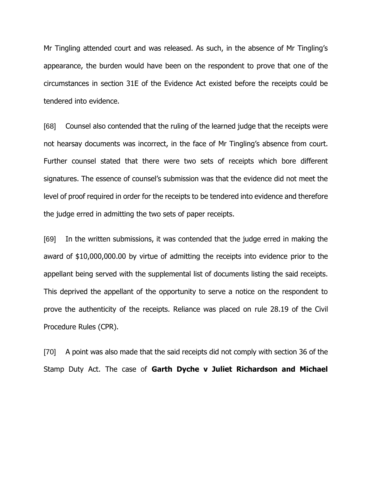Mr Tingling attended court and was released. As such, in the absence of Mr Tingling's appearance, the burden would have been on the respondent to prove that one of the circumstances in section 31E of the Evidence Act existed before the receipts could be tendered into evidence.

[68] Counsel also contended that the ruling of the learned judge that the receipts were not hearsay documents was incorrect, in the face of Mr Tingling's absence from court. Further counsel stated that there were two sets of receipts which bore different signatures. The essence of counsel's submission was that the evidence did not meet the level of proof required in order for the receipts to be tendered into evidence and therefore the judge erred in admitting the two sets of paper receipts.

[69] In the written submissions, it was contended that the judge erred in making the award of \$10,000,000.00 by virtue of admitting the receipts into evidence prior to the appellant being served with the supplemental list of documents listing the said receipts. This deprived the appellant of the opportunity to serve a notice on the respondent to prove the authenticity of the receipts. Reliance was placed on rule 28.19 of the Civil Procedure Rules (CPR).

[70] A point was also made that the said receipts did not comply with section 36 of the Stamp Duty Act. The case of **Garth Dyche v Juliet Richardson and Michael**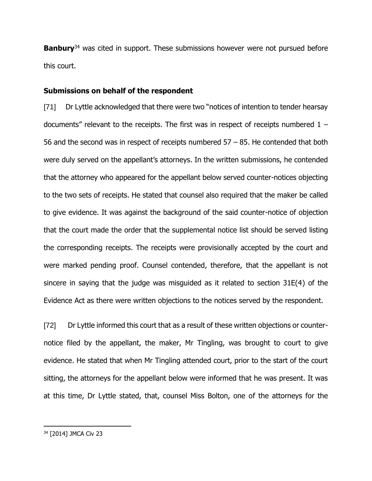**Banbury**<sup>34</sup> was cited in support. These submissions however were not pursued before this court.

### **Submissions on behalf of the respondent**

[71] Dr Lyttle acknowledged that there were two "notices of intention to tender hearsay documents" relevant to the receipts. The first was in respect of receipts numbered  $1 -$ 56 and the second was in respect of receipts numbered 57 – 85. He contended that both were duly served on the appellant's attorneys. In the written submissions, he contended that the attorney who appeared for the appellant below served counter-notices objecting to the two sets of receipts. He stated that counsel also required that the maker be called to give evidence. It was against the background of the said counter-notice of objection that the court made the order that the supplemental notice list should be served listing the corresponding receipts. The receipts were provisionally accepted by the court and were marked pending proof. Counsel contended, therefore, that the appellant is not sincere in saying that the judge was misguided as it related to section 31E(4) of the Evidence Act as there were written objections to the notices served by the respondent.

[72] Dr Lyttle informed this court that as a result of these written objections or counternotice filed by the appellant, the maker, Mr Tingling, was brought to court to give evidence. He stated that when Mr Tingling attended court, prior to the start of the court sitting, the attorneys for the appellant below were informed that he was present. It was at this time, Dr Lyttle stated, that, counsel Miss Bolton, one of the attorneys for the

<sup>34</sup> [2014] JMCA Civ 23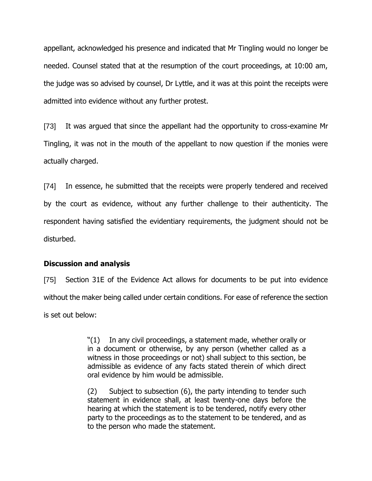appellant, acknowledged his presence and indicated that Mr Tingling would no longer be needed. Counsel stated that at the resumption of the court proceedings, at 10:00 am, the judge was so advised by counsel, Dr Lyttle, and it was at this point the receipts were admitted into evidence without any further protest.

[73] It was argued that since the appellant had the opportunity to cross-examine Mr Tingling, it was not in the mouth of the appellant to now question if the monies were actually charged.

[74] In essence, he submitted that the receipts were properly tendered and received by the court as evidence, without any further challenge to their authenticity. The respondent having satisfied the evidentiary requirements, the judgment should not be disturbed.

## **Discussion and analysis**

[75] Section 31E of the Evidence Act allows for documents to be put into evidence without the maker being called under certain conditions. For ease of reference the section is set out below:

> "(1) In any civil proceedings, a statement made, whether orally or in a document or otherwise, by any person (whether called as a witness in those proceedings or not) shall subject to this section, be admissible as evidence of any facts stated therein of which direct oral evidence by him would be admissible.

> (2) Subject to subsection (6), the party intending to tender such statement in evidence shall, at least twenty-one days before the hearing at which the statement is to be tendered, notify every other party to the proceedings as to the statement to be tendered, and as to the person who made the statement.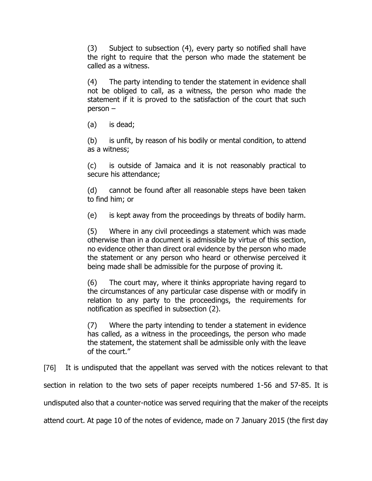(3) Subject to subsection (4), every party so notified shall have the right to require that the person who made the statement be called as a witness.

(4) The party intending to tender the statement in evidence shall not be obliged to call, as a witness, the person who made the statement if it is proved to the satisfaction of the court that such person –

(a) is dead;

(b) is unfit, by reason of his bodily or mental condition, to attend as a witness;

(c) is outside of Jamaica and it is not reasonably practical to secure his attendance;

(d) cannot be found after all reasonable steps have been taken to find him; or

(e) is kept away from the proceedings by threats of bodily harm.

(5) Where in any civil proceedings a statement which was made otherwise than in a document is admissible by virtue of this section, no evidence other than direct oral evidence by the person who made the statement or any person who heard or otherwise perceived it being made shall be admissible for the purpose of proving it.

(6) The court may, where it thinks appropriate having regard to the circumstances of any particular case dispense with or modify in relation to any party to the proceedings, the requirements for notification as specified in subsection (2).

(7) Where the party intending to tender a statement in evidence has called, as a witness in the proceedings, the person who made the statement, the statement shall be admissible only with the leave of the court."

[76] It is undisputed that the appellant was served with the notices relevant to that section in relation to the two sets of paper receipts numbered 1-56 and 57-85. It is undisputed also that a counter-notice was served requiring that the maker of the receipts attend court. At page 10 of the notes of evidence, made on 7 January 2015 (the first day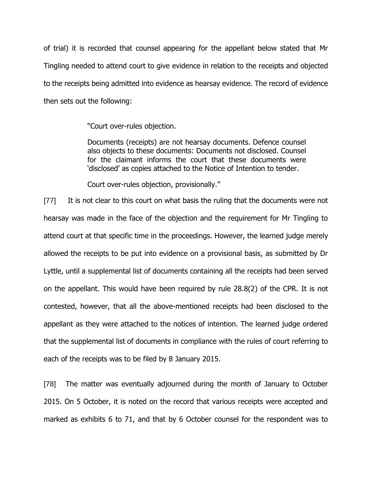of trial) it is recorded that counsel appearing for the appellant below stated that Mr Tingling needed to attend court to give evidence in relation to the receipts and objected to the receipts being admitted into evidence as hearsay evidence. The record of evidence then sets out the following:

"Court over-rules objection.

Documents (receipts) are not hearsay documents. Defence counsel also objects to these documents: Documents not disclosed. Counsel for the claimant informs the court that these documents were 'disclosed' as copies attached to the Notice of Intention to tender.

Court over-rules objection, provisionally."

[77] It is not clear to this court on what basis the ruling that the documents were not hearsay was made in the face of the objection and the requirement for Mr Tingling to attend court at that specific time in the proceedings. However, the learned judge merely allowed the receipts to be put into evidence on a provisional basis, as submitted by Dr Lyttle, until a supplemental list of documents containing all the receipts had been served on the appellant. This would have been required by rule 28.8(2) of the CPR. It is not contested, however, that all the above-mentioned receipts had been disclosed to the appellant as they were attached to the notices of intention. The learned judge ordered that the supplemental list of documents in compliance with the rules of court referring to each of the receipts was to be filed by 8 January 2015.

[78] The matter was eventually adjourned during the month of January to October 2015. On 5 October, it is noted on the record that various receipts were accepted and marked as exhibits 6 to 71, and that by 6 October counsel for the respondent was to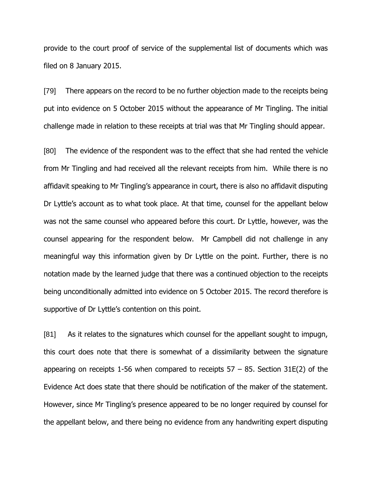provide to the court proof of service of the supplemental list of documents which was filed on 8 January 2015.

[79] There appears on the record to be no further objection made to the receipts being put into evidence on 5 October 2015 without the appearance of Mr Tingling. The initial challenge made in relation to these receipts at trial was that Mr Tingling should appear.

[80] The evidence of the respondent was to the effect that she had rented the vehicle from Mr Tingling and had received all the relevant receipts from him. While there is no affidavit speaking to Mr Tingling's appearance in court, there is also no affidavit disputing Dr Lyttle's account as to what took place. At that time, counsel for the appellant below was not the same counsel who appeared before this court. Dr Lyttle, however, was the counsel appearing for the respondent below. Mr Campbell did not challenge in any meaningful way this information given by Dr Lyttle on the point. Further, there is no notation made by the learned judge that there was a continued objection to the receipts being unconditionally admitted into evidence on 5 October 2015. The record therefore is supportive of Dr Lyttle's contention on this point.

[81] As it relates to the signatures which counsel for the appellant sought to impugn, this court does note that there is somewhat of a dissimilarity between the signature appearing on receipts 1-56 when compared to receipts  $57 - 85$ . Section 31E(2) of the Evidence Act does state that there should be notification of the maker of the statement. However, since Mr Tingling's presence appeared to be no longer required by counsel for the appellant below, and there being no evidence from any handwriting expert disputing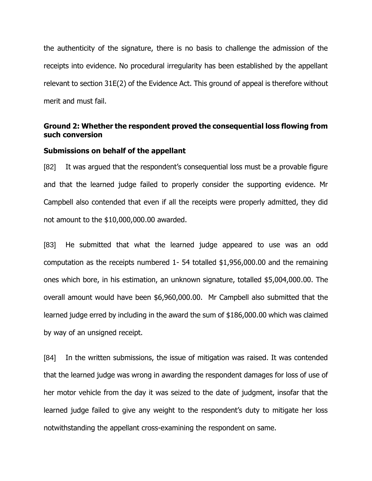the authenticity of the signature, there is no basis to challenge the admission of the receipts into evidence. No procedural irregularity has been established by the appellant relevant to section 31E(2) of the Evidence Act. This ground of appeal is therefore without merit and must fail.

## **Ground 2: Whether the respondent proved the consequential loss flowing from such conversion**

#### **Submissions on behalf of the appellant**

[82] It was argued that the respondent's consequential loss must be a provable figure and that the learned judge failed to properly consider the supporting evidence. Mr Campbell also contended that even if all the receipts were properly admitted, they did not amount to the \$10,000,000.00 awarded.

[83] He submitted that what the learned judge appeared to use was an odd computation as the receipts numbered 1- 54 totalled \$1,956,000.00 and the remaining ones which bore, in his estimation, an unknown signature, totalled \$5,004,000.00. The overall amount would have been \$6,960,000.00. Mr Campbell also submitted that the learned judge erred by including in the award the sum of \$186,000.00 which was claimed by way of an unsigned receipt.

[84] In the written submissions, the issue of mitigation was raised. It was contended that the learned judge was wrong in awarding the respondent damages for loss of use of her motor vehicle from the day it was seized to the date of judgment, insofar that the learned judge failed to give any weight to the respondent's duty to mitigate her loss notwithstanding the appellant cross-examining the respondent on same.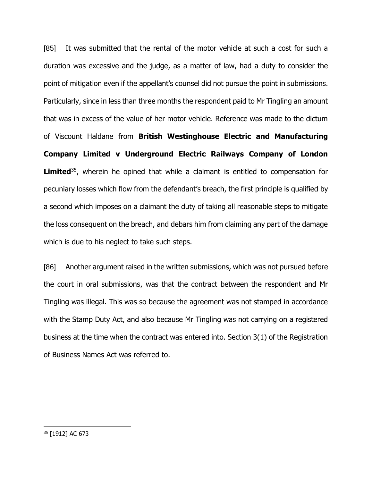[85] It was submitted that the rental of the motor vehicle at such a cost for such a duration was excessive and the judge, as a matter of law, had a duty to consider the point of mitigation even if the appellant's counsel did not pursue the point in submissions. Particularly, since in less than three months the respondent paid to Mr Tingling an amount that was in excess of the value of her motor vehicle. Reference was made to the dictum of Viscount Haldane from **British Westinghouse Electric and Manufacturing Company Limited v Underground Electric Railways Company of London Limited**<sup>35</sup>, wherein he opined that while a claimant is entitled to compensation for pecuniary losses which flow from the defendant's breach, the first principle is qualified by a second which imposes on a claimant the duty of taking all reasonable steps to mitigate the loss consequent on the breach, and debars him from claiming any part of the damage which is due to his neglect to take such steps.

[86] Another argument raised in the written submissions, which was not pursued before the court in oral submissions, was that the contract between the respondent and Mr Tingling was illegal. This was so because the agreement was not stamped in accordance with the Stamp Duty Act, and also because Mr Tingling was not carrying on a registered business at the time when the contract was entered into. Section 3(1) of the Registration of Business Names Act was referred to.

<sup>35</sup> [1912] AC 673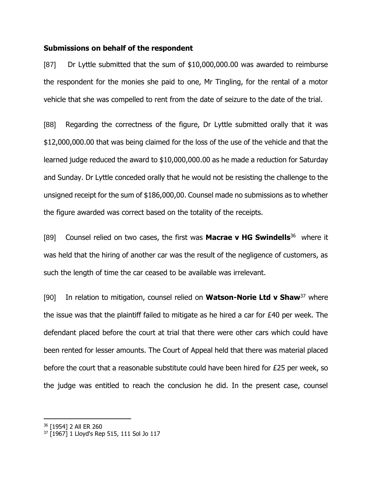#### **Submissions on behalf of the respondent**

[87] Dr Lyttle submitted that the sum of \$10,000,000.00 was awarded to reimburse the respondent for the monies she paid to one, Mr Tingling, for the rental of a motor vehicle that she was compelled to rent from the date of seizure to the date of the trial.

[88] Regarding the correctness of the figure, Dr Lyttle submitted orally that it was \$12,000,000.00 that was being claimed for the loss of the use of the vehicle and that the learned judge reduced the award to \$10,000,000.00 as he made a reduction for Saturday and Sunday. Dr Lyttle conceded orally that he would not be resisting the challenge to the unsigned receipt for the sum of \$186,000,00. Counsel made no submissions as to whether the figure awarded was correct based on the totality of the receipts.

[89] Counsel relied on two cases, the first was **Macrae v HG Swindells**<sup>36</sup> where it was held that the hiring of another car was the result of the negligence of customers, as such the length of time the car ceased to be available was irrelevant.

[90] In relation to mitigation, counsel relied on **Watson-Norie Ltd v Shaw**<sup>37</sup> where the issue was that the plaintiff failed to mitigate as he hired a car for £40 per week. The defendant placed before the court at trial that there were other cars which could have been rented for lesser amounts. The Court of Appeal held that there was material placed before the court that a reasonable substitute could have been hired for £25 per week, so the judge was entitled to reach the conclusion he did. In the present case, counsel

<sup>36</sup> [1954] 2 All ER 260

<sup>37</sup> [1967] 1 Lloyd's Rep 515, 111 Sol Jo 117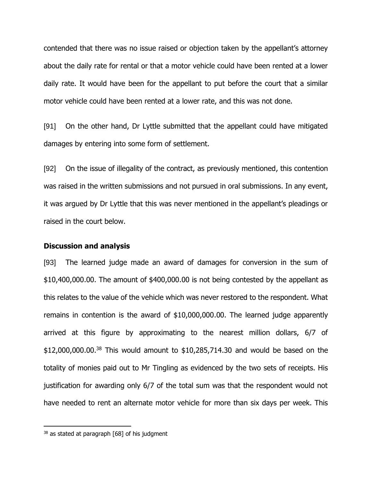contended that there was no issue raised or objection taken by the appellant's attorney about the daily rate for rental or that a motor vehicle could have been rented at a lower daily rate. It would have been for the appellant to put before the court that a similar motor vehicle could have been rented at a lower rate, and this was not done.

[91] On the other hand, Dr Lyttle submitted that the appellant could have mitigated damages by entering into some form of settlement.

[92] On the issue of illegality of the contract, as previously mentioned, this contention was raised in the written submissions and not pursued in oral submissions. In any event, it was argued by Dr Lyttle that this was never mentioned in the appellant's pleadings or raised in the court below.

#### **Discussion and analysis**

[93] The learned judge made an award of damages for conversion in the sum of \$10,400,000.00. The amount of \$400,000.00 is not being contested by the appellant as this relates to the value of the vehicle which was never restored to the respondent. What remains in contention is the award of \$10,000,000.00. The learned judge apparently arrived at this figure by approximating to the nearest million dollars, 6/7 of \$12,000,000.00. <sup>38</sup> This would amount to \$10,285,714.30 and would be based on the totality of monies paid out to Mr Tingling as evidenced by the two sets of receipts. His justification for awarding only 6/7 of the total sum was that the respondent would not have needed to rent an alternate motor vehicle for more than six days per week. This

 $38$  as stated at paragraph [68] of his judgment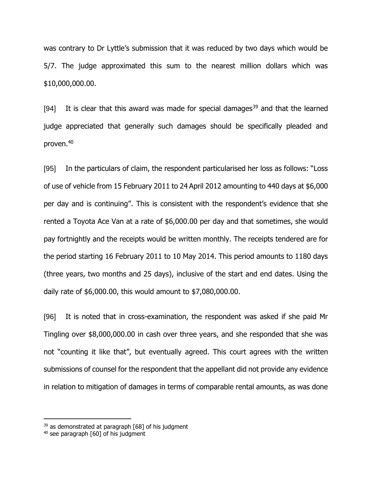was contrary to Dr Lyttle's submission that it was reduced by two days which would be 5/7. The judge approximated this sum to the nearest million dollars which was \$10,000,000.00.

[94] It is clear that this award was made for special damages<sup>39</sup> and that the learned judge appreciated that generally such damages should be specifically pleaded and proven.<sup>40</sup>

[95] In the particulars of claim, the respondent particularised her loss as follows: "Loss of use of vehicle from 15 February 2011 to 24 April 2012 amounting to 440 days at \$6,000 per day and is continuing". This is consistent with the respondent's evidence that she rented a Toyota Ace Van at a rate of \$6,000.00 per day and that sometimes, she would pay fortnightly and the receipts would be written monthly. The receipts tendered are for the period starting 16 February 2011 to 10 May 2014. This period amounts to 1180 days (three years, two months and 25 days), inclusive of the start and end dates. Using the daily rate of \$6,000.00, this would amount to \$7,080,000.00.

[96] It is noted that in cross-examination, the respondent was asked if she paid Mr Tingling over \$8,000,000.00 in cash over three years, and she responded that she was not "counting it like that", but eventually agreed. This court agrees with the written submissions of counsel for the respondent that the appellant did not provide any evidence in relation to mitigation of damages in terms of comparable rental amounts, as was done

 $39$  as demonstrated at paragraph [68] of his judgment

<sup>40</sup> see paragraph [60] of his judgment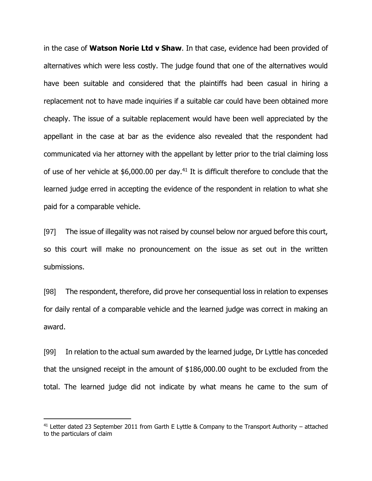in the case of **Watson Norie Ltd v Shaw**. In that case, evidence had been provided of alternatives which were less costly. The judge found that one of the alternatives would have been suitable and considered that the plaintiffs had been casual in hiring a replacement not to have made inquiries if a suitable car could have been obtained more cheaply. The issue of a suitable replacement would have been well appreciated by the appellant in the case at bar as the evidence also revealed that the respondent had communicated via her attorney with the appellant by letter prior to the trial claiming loss of use of her vehicle at \$6,000.00 per day.<sup>41</sup> It is difficult therefore to conclude that the learned judge erred in accepting the evidence of the respondent in relation to what she paid for a comparable vehicle.

[97] The issue of illegality was not raised by counsel below nor argued before this court, so this court will make no pronouncement on the issue as set out in the written submissions.

[98] The respondent, therefore, did prove her consequential loss in relation to expenses for daily rental of a comparable vehicle and the learned judge was correct in making an award.

[99] In relation to the actual sum awarded by the learned judge, Dr Lyttle has conceded that the unsigned receipt in the amount of \$186,000.00 ought to be excluded from the total. The learned judge did not indicate by what means he came to the sum of

 $41$  Letter dated 23 September 2011 from Garth E Lyttle & Company to the Transport Authority – attached to the particulars of claim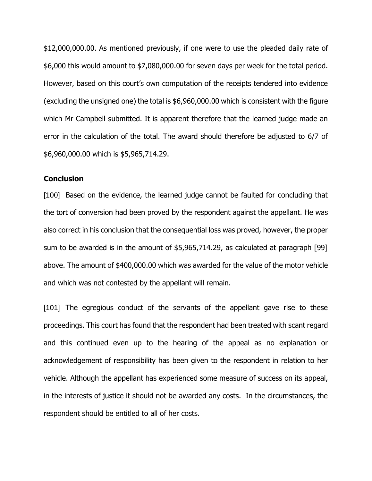\$12,000,000.00. As mentioned previously, if one were to use the pleaded daily rate of \$6,000 this would amount to \$7,080,000.00 for seven days per week for the total period. However, based on this court's own computation of the receipts tendered into evidence (excluding the unsigned one) the total is \$6,960,000.00 which is consistent with the figure which Mr Campbell submitted. It is apparent therefore that the learned judge made an error in the calculation of the total. The award should therefore be adjusted to 6/7 of \$6,960,000.00 which is \$5,965,714.29.

#### **Conclusion**

[100] Based on the evidence, the learned judge cannot be faulted for concluding that the tort of conversion had been proved by the respondent against the appellant. He was also correct in his conclusion that the consequential loss was proved, however, the proper sum to be awarded is in the amount of \$5,965,714.29, as calculated at paragraph [99] above. The amount of \$400,000.00 which was awarded for the value of the motor vehicle and which was not contested by the appellant will remain.

[101] The egregious conduct of the servants of the appellant gave rise to these proceedings. This court has found that the respondent had been treated with scant regard and this continued even up to the hearing of the appeal as no explanation or acknowledgement of responsibility has been given to the respondent in relation to her vehicle. Although the appellant has experienced some measure of success on its appeal, in the interests of justice it should not be awarded any costs. In the circumstances, the respondent should be entitled to all of her costs.